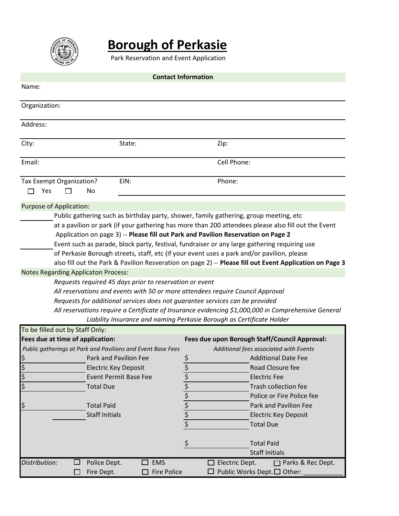

# **Borough of Perkasie**

Park Reservation and Event Application

| <b>Contact Information</b>                                                                                                                                                                                                                                                                                                                                                                                                                                                                                                                                                                                                                                                                                                                                                                                                                                                                                                                                                                                                                                                       |                                                              |                                                                                                                                                                                                                                                                                                                                                                                                                                     |  |  |  |  |
|----------------------------------------------------------------------------------------------------------------------------------------------------------------------------------------------------------------------------------------------------------------------------------------------------------------------------------------------------------------------------------------------------------------------------------------------------------------------------------------------------------------------------------------------------------------------------------------------------------------------------------------------------------------------------------------------------------------------------------------------------------------------------------------------------------------------------------------------------------------------------------------------------------------------------------------------------------------------------------------------------------------------------------------------------------------------------------|--------------------------------------------------------------|-------------------------------------------------------------------------------------------------------------------------------------------------------------------------------------------------------------------------------------------------------------------------------------------------------------------------------------------------------------------------------------------------------------------------------------|--|--|--|--|
| Name:                                                                                                                                                                                                                                                                                                                                                                                                                                                                                                                                                                                                                                                                                                                                                                                                                                                                                                                                                                                                                                                                            |                                                              |                                                                                                                                                                                                                                                                                                                                                                                                                                     |  |  |  |  |
| Organization:                                                                                                                                                                                                                                                                                                                                                                                                                                                                                                                                                                                                                                                                                                                                                                                                                                                                                                                                                                                                                                                                    |                                                              |                                                                                                                                                                                                                                                                                                                                                                                                                                     |  |  |  |  |
| Address:                                                                                                                                                                                                                                                                                                                                                                                                                                                                                                                                                                                                                                                                                                                                                                                                                                                                                                                                                                                                                                                                         |                                                              |                                                                                                                                                                                                                                                                                                                                                                                                                                     |  |  |  |  |
| City:                                                                                                                                                                                                                                                                                                                                                                                                                                                                                                                                                                                                                                                                                                                                                                                                                                                                                                                                                                                                                                                                            | State:                                                       | Zip:                                                                                                                                                                                                                                                                                                                                                                                                                                |  |  |  |  |
| Email:                                                                                                                                                                                                                                                                                                                                                                                                                                                                                                                                                                                                                                                                                                                                                                                                                                                                                                                                                                                                                                                                           |                                                              | Cell Phone:                                                                                                                                                                                                                                                                                                                                                                                                                         |  |  |  |  |
| Tax Exempt Organization?<br>Yes<br>No                                                                                                                                                                                                                                                                                                                                                                                                                                                                                                                                                                                                                                                                                                                                                                                                                                                                                                                                                                                                                                            | EIN:                                                         | Phone:                                                                                                                                                                                                                                                                                                                                                                                                                              |  |  |  |  |
| Purpose of Application:<br>Public gathering such as birthday party, shower, family gathering, group meeting, etc<br>at a pavilion or park (if your gathering has more than 200 attendees please also fill out the Event<br>Application on page 3) -- Please fill out Park and Pavilion Reservation on Page 2<br>Event such as parade, block party, festival, fundraiser or any large gathering requiring use<br>of Perkasie Borough streets, staff, etc (if your event uses a park and/or pavilion, please<br>also fill out the Park & Pavilion Resveration on page 2) -- Please fill out Event Application on Page 3<br><b>Notes Regarding Applicaton Process:</b><br>Requests required 45 days prior to reservation or event<br>All reservations and events with 50 or more attendees require Council Approval<br>Requests for additional services does not guarantee services can be provided<br>All reservations require a Certificate of Insurance evidencing \$1,000,000 in Comprehensive General<br>Liability Insurance and naming Perkasie Borough as Certificate Holder |                                                              |                                                                                                                                                                                                                                                                                                                                                                                                                                     |  |  |  |  |
| To be filled out by Staff Only:                                                                                                                                                                                                                                                                                                                                                                                                                                                                                                                                                                                                                                                                                                                                                                                                                                                                                                                                                                                                                                                  |                                                              |                                                                                                                                                                                                                                                                                                                                                                                                                                     |  |  |  |  |
| Fees due at time of application:<br>Public gatherings at Park and Pavilions and Event Base Fees<br>\$<br>$\zeta$<br><b>Electric Key Deposit</b><br>lゕ<br>\$<br><b>Total Due</b><br>\$<br><b>Total Paid</b><br><b>Staff Initials</b>                                                                                                                                                                                                                                                                                                                                                                                                                                                                                                                                                                                                                                                                                                                                                                                                                                              | <b>Park and Pavilion Fee</b><br><b>Event Permit Base Fee</b> | Fees due upon Borough Staff/Council Approval:<br>Additional fees associated with Events<br><b>Additional Date Fee</b><br>\$<br>$rac{5}{5}$<br>Road Closure fee<br><b>Electric Fee</b><br>\$<br>Trash collection fee<br>$\frac{1}{2}$<br>$\frac{1}{2}$<br>$\frac{1}{2}$<br>Police or Fire Police fee<br>Park and Pavilion Fee<br><b>Electric Key Deposit</b><br><b>Total Due</b><br>\$<br><b>Total Paid</b><br><b>Staff Initials</b> |  |  |  |  |
| Distribution:<br>Police Dept.<br>Fire Dept.                                                                                                                                                                                                                                                                                                                                                                                                                                                                                                                                                                                                                                                                                                                                                                                                                                                                                                                                                                                                                                      | <b>EMS</b><br>$\mathsf{L}$<br><b>Fire Police</b>             | $\Box$ Electric Dept.<br>$\Box$ Parks & Rec Dept.<br>Public Works Dept.□ Other:                                                                                                                                                                                                                                                                                                                                                     |  |  |  |  |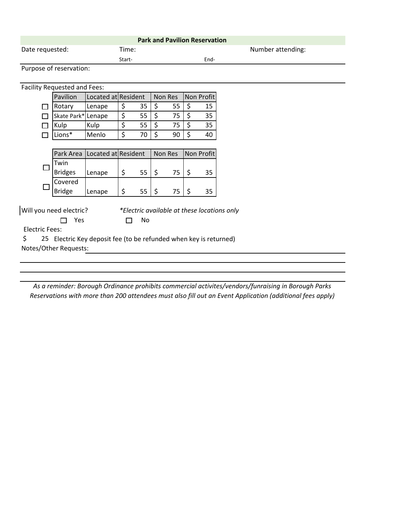| <b>Park and Pavilion Reservation</b>                                    |                         |                     |        |    |         |    |    |            |                                                                                                     |
|-------------------------------------------------------------------------|-------------------------|---------------------|--------|----|---------|----|----|------------|-----------------------------------------------------------------------------------------------------|
| Date requested:                                                         |                         |                     | Time:  |    |         |    |    |            | Number attending:                                                                                   |
|                                                                         |                         |                     | Start- |    |         |    |    | End-       |                                                                                                     |
|                                                                         | Purpose of reservation: |                     |        |    |         |    |    |            |                                                                                                     |
|                                                                         |                         |                     |        |    |         |    |    |            |                                                                                                     |
| Facility Requested and Fees:                                            |                         |                     |        |    |         |    |    |            |                                                                                                     |
|                                                                         | Pavilion                | Located at Resident |        |    | Non Res |    |    | Non Profit |                                                                                                     |
|                                                                         | Rotary                  | Lenape              | \$     | 35 | \$      | 55 | \$ | 15         |                                                                                                     |
|                                                                         | Skate Park* Lenape      |                     | \$     | 55 | \$      | 75 | \$ | 35         |                                                                                                     |
|                                                                         | Kulp                    | Kulp                | \$     | 55 | \$      | 75 | \$ | 35         |                                                                                                     |
|                                                                         | Lions*                  | Menlo               | \$     | 70 | \$      | 90 | \$ | 40         |                                                                                                     |
|                                                                         |                         |                     |        |    |         |    |    |            |                                                                                                     |
|                                                                         | Park Area               | Located at Resident |        |    | Non Res |    |    | Non Profit |                                                                                                     |
|                                                                         | Twin                    |                     |        |    |         |    |    |            |                                                                                                     |
|                                                                         | <b>Bridges</b>          | Lenape              | \$     | 55 | \$      | 75 | \$ | 35         |                                                                                                     |
|                                                                         | Covered                 |                     |        |    |         |    |    |            |                                                                                                     |
|                                                                         | <b>Bridge</b>           | Lenape              | \$     | 55 | $\zeta$ | 75 | \$ | 35         |                                                                                                     |
|                                                                         |                         |                     |        |    |         |    |    |            |                                                                                                     |
| Will you need electric?<br>*Electric available at these locations only  |                         |                     |        |    |         |    |    |            |                                                                                                     |
|                                                                         | Yes<br>No               |                     |        |    |         |    |    |            |                                                                                                     |
| <b>Electric Fees:</b>                                                   |                         |                     |        |    |         |    |    |            |                                                                                                     |
| 25 Electric Key deposit fee (to be refunded when key is returned)<br>\$ |                         |                     |        |    |         |    |    |            |                                                                                                     |
| Notes/Other Requests:                                                   |                         |                     |        |    |         |    |    |            |                                                                                                     |
|                                                                         |                         |                     |        |    |         |    |    |            |                                                                                                     |
|                                                                         |                         |                     |        |    |         |    |    |            |                                                                                                     |
|                                                                         |                         |                     |        |    |         |    |    |            |                                                                                                     |
|                                                                         |                         |                     |        |    |         |    |    |            | As a reminder: Borough Ordinance prohibits commercial activites/vendors/funraising in Borough Parks |

*As a reminder: Borough Ordinance prohibits commercial activites/vendors/funraising in Borough Parks Reservations with more than 200 attendees must also fill out an Event Application (additional fees apply)*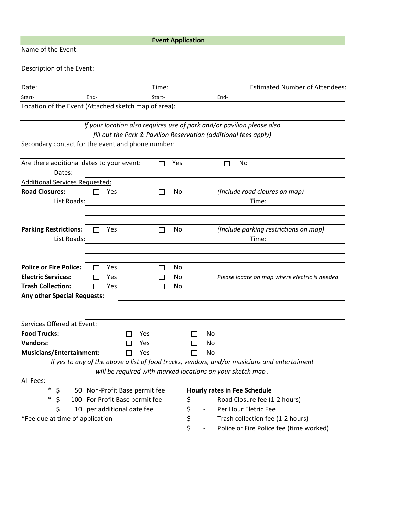|                                                                |                                 |  | <b>Event Application</b> |          |    |                                  |                                                                                                                                            |
|----------------------------------------------------------------|---------------------------------|--|--------------------------|----------|----|----------------------------------|--------------------------------------------------------------------------------------------------------------------------------------------|
| Name of the Event:                                             |                                 |  |                          |          |    |                                  |                                                                                                                                            |
| Description of the Event:                                      |                                 |  |                          |          |    |                                  |                                                                                                                                            |
| Date:                                                          |                                 |  | Time:                    |          |    |                                  | <b>Estimated Number of Attendees:</b>                                                                                                      |
| Start-                                                         | End-                            |  | Start-                   |          |    |                                  | End-                                                                                                                                       |
| Location of the Event (Attached sketch map of area):           |                                 |  |                          |          |    |                                  |                                                                                                                                            |
| Secondary contact for the event and phone number:              |                                 |  |                          |          |    |                                  | If your location also requires use of park and/or pavilion please also<br>fill out the Park & Pavilion Reservation (additional fees apply) |
| Are there additional dates to your event:<br>Dates:            |                                 |  |                          | Yes      |    |                                  | No<br>П                                                                                                                                    |
| <b>Additional Services Requested:</b>                          |                                 |  |                          |          |    |                                  |                                                                                                                                            |
| <b>Road Closures:</b><br>List Roads:                           | Yes                             |  |                          | No       |    |                                  | (Include road cloures on map)<br>Time:                                                                                                     |
| <b>Parking Restrictions:</b><br>List Roads:                    | Yes                             |  | $\Box$                   | No       |    |                                  | (Include parking restrictions on map)<br>Time:                                                                                             |
|                                                                |                                 |  |                          |          |    |                                  |                                                                                                                                            |
| <b>Police or Fire Police:</b>                                  | Yes<br>$\overline{\phantom{0}}$ |  |                          | No       |    |                                  |                                                                                                                                            |
| <b>Electric Services:</b>                                      | Yes                             |  |                          | No       |    |                                  | Please locate on map where electric is needed                                                                                              |
| <b>Trash Collection:</b><br><b>Any other Special Requests:</b> | Yes                             |  | $\mathbf{I}$             | No       |    |                                  |                                                                                                                                            |
|                                                                |                                 |  |                          |          |    |                                  |                                                                                                                                            |
| Services Offered at Event:                                     |                                 |  |                          |          |    |                                  |                                                                                                                                            |
| <b>Food Trucks:</b>                                            |                                 |  | Yes                      |          |    | No                               |                                                                                                                                            |
| <b>Vendors:</b>                                                |                                 |  | Yes                      |          |    | No                               |                                                                                                                                            |
| <b>Musicians/Entertainment:</b>                                |                                 |  | Yes                      |          | Гι | No                               |                                                                                                                                            |
|                                                                |                                 |  |                          |          |    |                                  | If yes to any of the above a list of food trucks, vendors, and/or musicians and entertaiment                                               |
| All Fees:                                                      |                                 |  |                          |          |    |                                  | will be required with marked locations on your sketch map.                                                                                 |
| $\ast$<br>\$                                                   |                                 |  |                          |          |    |                                  | <b>Hourly rates in Fee Schedule</b>                                                                                                        |
| $\ast$<br>Ś                                                    | 50 Non-Profit Base permit fee   |  |                          |          | \$ |                                  | Road Closure fee (1-2 hours)                                                                                                               |
|                                                                | 100 For Profit Base permit fee  |  |                          |          |    |                                  | Per Hour Eletric Fee                                                                                                                       |
| 10 per additional date fee<br>*Fee due at time of application  |                                 |  |                          | \$<br>\$ |    | Trash collection fee (1-2 hours) |                                                                                                                                            |
|                                                                |                                 |  |                          |          | \$ |                                  | Police or Fire Police fee (time worked)                                                                                                    |